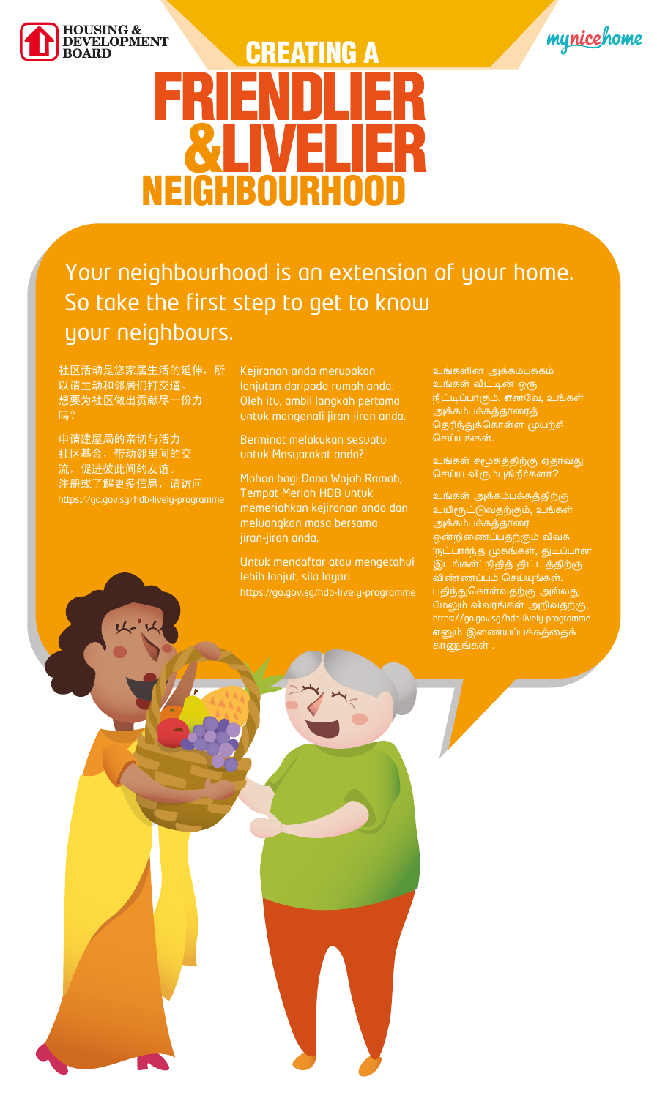https://go.gov.sg/hdb-lively-programme https://go.gov.sg/hdb-lively-programme 申请建屋局的亲切与活力 社区基金,带动邻里间的交 流,促进彼此间的友谊。 注册或了解更多信息,请访问

#### Your neighbourhood is an extension of your home. So take the first step to get to know your neighbours.

社区活动是您家居生活的延伸,所 以请主动和邻居们打交道。 想要为社区做出贡献尽一份力 吗?

Kejiranan anda merupakan lanjutan daripada rumah anda. Oleh itu, ambil langkah pertama untuk mengenali jiran-jiran anda.

Berminat melakukan sesuatu untuk Masyarakat anda?



Mohon bagi Dana Wajah Ramah, Tempat Meriah HDB untuk memeriahkan kejiranan anda dan meluangkan masa bersama jiran-jiran anda.





# FRIENDLIER &LIVELIER NEIGHBOURHOOD CREATING A

Untuk mendaftar atau mengetahui

உங்களின் அக்கம்பக்கம் உங்கள் வீட்டின் ஒரு  $f\ddot{f}$ ட்டிப்பாகும். எனவே, உங்கள் அக்கம்பக்கத்தாரைத் தெரிந்துக்கொள்ள முயற்சி செய்யுங்கள்.

உங்கள் சமூகத்திற்கு ஏதாவது செய்ய விரும்புகிறீர்களா?

உங்கள் அக்கம்பக்கத்திற்கு உயிரூட்டுவதற்கும், உங்கள் அக்கம்பக்கத்தாரை ஒன்றிணைப்பதற்கும் வீவக 'நட்பார்ந்த முகங்கள், துடிப்பான இடங்கள்' நிதித் திட்டத்திற்கு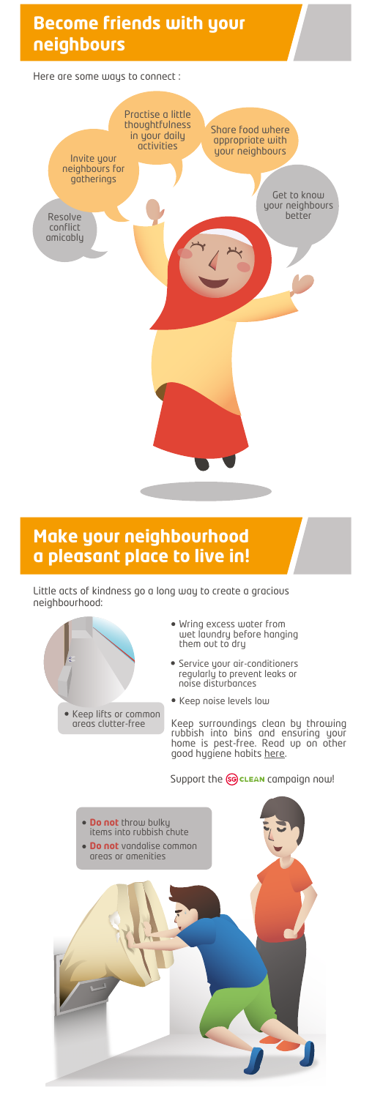- Wring excess water from wet laundry before hanging them out to dry
- Service your air-conditioners regularly to prevent leaks or noise disturbances
- Keep noise levels low

https://www.sgclean.gov.sg/join/for-individuals/ Keep surroundings clean by throwing rubbish into bins and ensuring your home is pest-free. Read up on other good hygiene habits here.

Support the **SG** CLEAN campaign now!

Little acts of kindness go a long way to create a gracious neighbourhood:





### **Become friends with your neighbours**

### **Make your neighbourhood a pleasant place to live in**!

Here are some ways to connect :